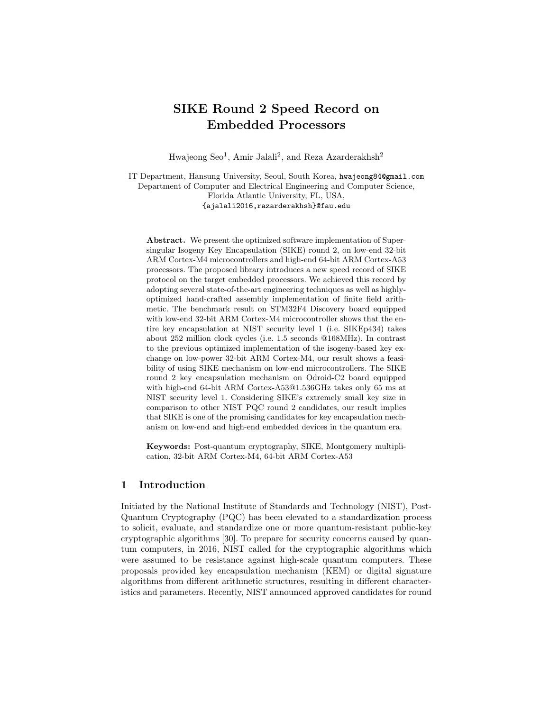# SIKE Round 2 Speed Record on Embedded Processors

Hwajeong Seo<sup>1</sup>, Amir Jalali<sup>2</sup>, and Reza Azarderakhsh<sup>2</sup>

IT Department, Hansung University, Seoul, South Korea, hwajeong84@gmail.com Department of Computer and Electrical Engineering and Computer Science, Florida Atlantic University, FL, USA, {ajalali2016,razarderakhsh}@fau.edu

Abstract. We present the optimized software implementation of Supersingular Isogeny Key Encapsulation (SIKE) round 2, on low-end 32-bit ARM Cortex-M4 microcontrollers and high-end 64-bit ARM Cortex-A53 processors. The proposed library introduces a new speed record of SIKE protocol on the target embedded processors. We achieved this record by adopting several state-of-the-art engineering techniques as well as highlyoptimized hand-crafted assembly implementation of finite field arithmetic. The benchmark result on STM32F4 Discovery board equipped with low-end 32-bit ARM Cortex-M4 microcontroller shows that the entire key encapsulation at NIST security level 1 (i.e. SIKEp434) takes about 252 million clock cycles (i.e. 1.5 seconds @168MHz). In contrast to the previous optimized implementation of the isogeny-based key exchange on low-power 32-bit ARM Cortex-M4, our result shows a feasibility of using SIKE mechanism on low-end microcontrollers. The SIKE round 2 key encapsulation mechanism on Odroid-C2 board equipped with high-end 64-bit ARM Cortex-A53@1.536GHz takes only 65 ms at NIST security level 1. Considering SIKE's extremely small key size in comparison to other NIST PQC round 2 candidates, our result implies that SIKE is one of the promising candidates for key encapsulation mechanism on low-end and high-end embedded devices in the quantum era.

Keywords: Post-quantum cryptography, SIKE, Montgomery multiplication, 32-bit ARM Cortex-M4, 64-bit ARM Cortex-A53

## 1 Introduction

Initiated by the National Institute of Standards and Technology (NIST), Post-Quantum Cryptography (PQC) has been elevated to a standardization process to solicit, evaluate, and standardize one or more quantum-resistant public-key cryptographic algorithms [30]. To prepare for security concerns caused by quantum computers, in 2016, NIST called for the cryptographic algorithms which were assumed to be resistance against high-scale quantum computers. These proposals provided key encapsulation mechanism (KEM) or digital signature algorithms from different arithmetic structures, resulting in different characteristics and parameters. Recently, NIST announced approved candidates for round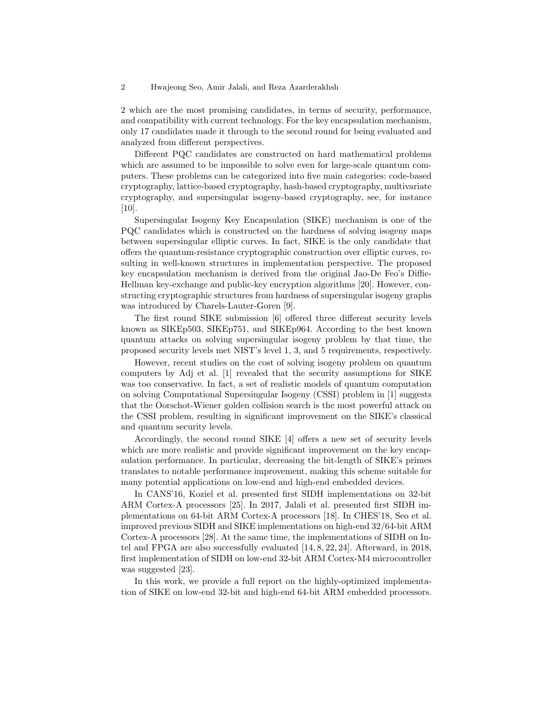2 which are the most promising candidates, in terms of security, performance, and compatibility with current technology. For the key encapsulation mechanism, only 17 candidates made it through to the second round for being evaluated and analyzed from different perspectives.

Different PQC candidates are constructed on hard mathematical problems which are assumed to be impossible to solve even for large-scale quantum computers. These problems can be categorized into five main categories: code-based cryptography, lattice-based cryptography, hash-based cryptography, multivariate cryptography, and supersingular isogeny-based cryptography, see, for instance [10].

Supersingular Isogeny Key Encapsulation (SIKE) mechanism is one of the PQC candidates which is constructed on the hardness of solving isogeny maps between supersingular elliptic curves. In fact, SIKE is the only candidate that offers the quantum-resistance cryptographic construction over elliptic curves, resulting in well-known structures in implementation perspective. The proposed key encapsulation mechanism is derived from the original Jao-De Feo's Diffie-Hellman key-exchange and public-key encryption algorithms [20]. However, constructing cryptographic structures from hardness of supersingular isogeny graphs was introduced by Charels-Lauter-Goren [9].

The first round SIKE submission [6] offered three different security levels known as SIKEp503, SIKEp751, and SIKEp964. According to the best known quantum attacks on solving supersingular isogeny problem by that time, the proposed security levels met NIST's level 1, 3, and 5 requirements, respectively.

However, recent studies on the cost of solving isogeny problem on quantum computers by Adj et al. [1] revealed that the security assumptions for SIKE was too conservative. In fact, a set of realistic models of quantum computation on solving Computational Supersingular Isogeny (CSSI) problem in [1] suggests that the Oorschot-Wiener golden collision search is the most powerful attack on the CSSI problem, resulting in significant improvement on the SIKE's classical and quantum security levels.

Accordingly, the second round SIKE [4] offers a new set of security levels which are more realistic and provide significant improvement on the key encapsulation performance. In particular, decreasing the bit-length of SIKE's primes translates to notable performance improvement, making this scheme suitable for many potential applications on low-end and high-end embedded devices.

In CANS'16, Koziel et al. presented first SIDH implementations on 32-bit ARM Cortex-A processors [25]. In 2017, Jalali et al. presented first SIDH implementations on 64-bit ARM Cortex-A processors [18]. In CHES'18, Seo et al. improved previous SIDH and SIKE implementations on high-end 32/64-bit ARM Cortex-A processors [28]. At the same time, the implementations of SIDH on Intel and FPGA are also successfully evaluated [14, 8, 22, 24]. Afterward, in 2018, first implementation of SIDH on low-end 32-bit ARM Cortex-M4 microcontroller was suggested [23].

In this work, we provide a full report on the highly-optimized implementation of SIKE on low-end 32-bit and high-end 64-bit ARM embedded processors.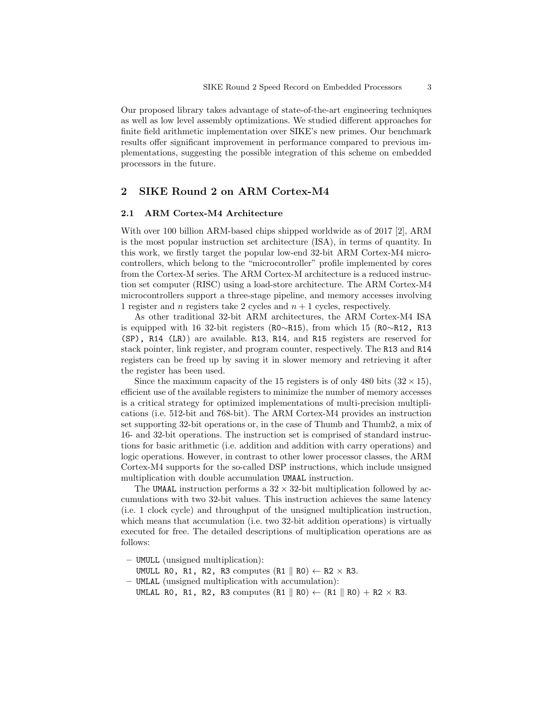Our proposed library takes advantage of state-of-the-art engineering techniques as well as low level assembly optimizations. We studied different approaches for finite field arithmetic implementation over SIKE's new primes. Our benchmark results offer significant improvement in performance compared to previous implementations, suggesting the possible integration of this scheme on embedded processors in the future.

## 2 SIKE Round 2 on ARM Cortex-M4

### 2.1 ARM Cortex-M4 Architecture

With over 100 billion ARM-based chips shipped worldwide as of 2017 [2], ARM is the most popular instruction set architecture (ISA), in terms of quantity. In this work, we firstly target the popular low-end 32-bit ARM Cortex-M4 microcontrollers, which belong to the "microcontroller" profile implemented by cores from the Cortex-M series. The ARM Cortex-M architecture is a reduced instruction set computer (RISC) using a load-store architecture. The ARM Cortex-M4 microcontrollers support a three-stage pipeline, and memory accesses involving 1 register and *n* registers take 2 cycles and  $n + 1$  cycles, respectively.

As other traditional 32-bit ARM architectures, the ARM Cortex-M4 ISA is equipped with 16 32-bit registers (R0∼R15), from which 15 (R0∼R12, R13 (SP), R14 (LR)) are available. R13, R14, and R15 registers are reserved for stack pointer, link register, and program counter, respectively. The R13 and R14 registers can be freed up by saving it in slower memory and retrieving it after the register has been used.

Since the maximum capacity of the 15 registers is of only 480 bits  $(32 \times 15)$ , efficient use of the available registers to minimize the number of memory accesses is a critical strategy for optimized implementations of multi-precision multiplications (i.e. 512-bit and 768-bit). The ARM Cortex-M4 provides an instruction set supporting 32-bit operations or, in the case of Thumb and Thumb2, a mix of 16- and 32-bit operations. The instruction set is comprised of standard instructions for basic arithmetic (i.e. addition and addition with carry operations) and logic operations. However, in contrast to other lower processor classes, the ARM Cortex-M4 supports for the so-called DSP instructions, which include unsigned multiplication with double accumulation UMAAL instruction.

The UMAAL instruction performs a  $32 \times 32$ -bit multiplication followed by accumulations with two 32-bit values. This instruction achieves the same latency (i.e. 1 clock cycle) and throughput of the unsigned multiplication instruction, which means that accumulation (i.e. two 32-bit addition operations) is virtually executed for free. The detailed descriptions of multiplication operations are as follows:

– UMULL (unsigned multiplication):

UMULL RO, R1, R2, R3 computes  $(R1 \parallel R0) \leftarrow R2 \times R3$ .

- UMLAL (unsigned multiplication with accumulation):
	- UMLAL RO, R1, R2, R3 computes  $(R1 \parallel R0) \leftarrow (R1 \parallel R0) + R2 \times R3$ .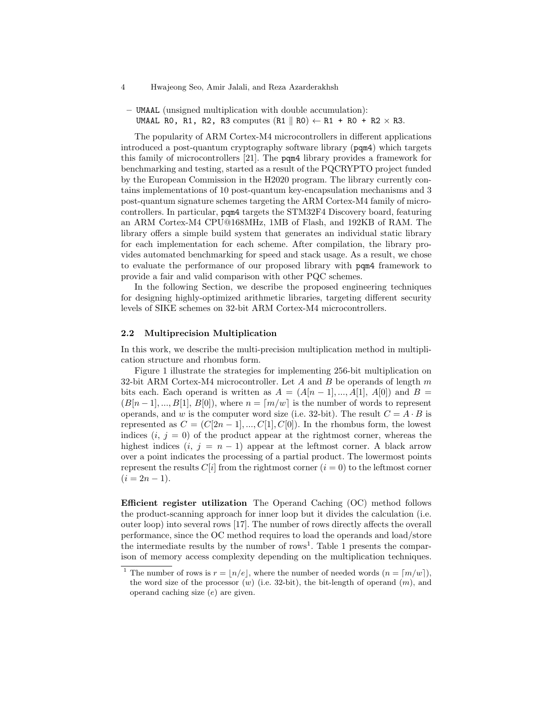- 4 Hwajeong Seo, Amir Jalali, and Reza Azarderakhsh
- UMAAL (unsigned multiplication with double accumulation): UMAAL RO, R1, R2, R3 computes  $(R1 \parallel R0) \leftarrow R1 + R0 + R2 \times R3$ .

The popularity of ARM Cortex-M4 microcontrollers in different applications introduced a post-quantum cryptography software library (pqm4) which targets this family of microcontrollers [21]. The pqm4 library provides a framework for benchmarking and testing, started as a result of the PQCRYPTO project funded by the European Commission in the H2020 program. The library currently contains implementations of 10 post-quantum key-encapsulation mechanisms and 3 post-quantum signature schemes targeting the ARM Cortex-M4 family of microcontrollers. In particular, pqm4 targets the STM32F4 Discovery board, featuring an ARM Cortex-M4 CPU@168MHz, 1MB of Flash, and 192KB of RAM. The library offers a simple build system that generates an individual static library for each implementation for each scheme. After compilation, the library provides automated benchmarking for speed and stack usage. As a result, we chose to evaluate the performance of our proposed library with pqm4 framework to provide a fair and valid comparison with other PQC schemes.

In the following Section, we describe the proposed engineering techniques for designing highly-optimized arithmetic libraries, targeting different security levels of SIKE schemes on 32-bit ARM Cortex-M4 microcontrollers.

#### 2.2 Multiprecision Multiplication

In this work, we describe the multi-precision multiplication method in multiplication structure and rhombus form.

Figure 1 illustrate the strategies for implementing 256-bit multiplication on 32-bit ARM Cortex-M4 microcontroller. Let A and B be operands of length  $m$ bits each. Each operand is written as  $A = (A[n-1],...,A[1], A[0])$  and  $B =$  $(B[n-1],..., B[1], B[0]),$  where  $n = [m/w]$  is the number of words to represent operands, and w is the computer word size (i.e. 32-bit). The result  $C = A \cdot B$  is represented as  $C = (C[2n-1], ..., C[1], C[0])$ . In the rhombus form, the lowest indices  $(i, j = 0)$  of the product appear at the rightmost corner, whereas the highest indices  $(i, j = n - 1)$  appear at the leftmost corner. A black arrow over a point indicates the processing of a partial product. The lowermost points represent the results  $C[i]$  from the rightmost corner  $(i = 0)$  to the leftmost corner  $(i = 2n - 1).$ 

Efficient register utilization The Operand Caching (OC) method follows the product-scanning approach for inner loop but it divides the calculation (i.e. outer loop) into several rows [17]. The number of rows directly affects the overall performance, since the OC method requires to load the operands and load/store the intermediate results by the number of rows<sup>1</sup>. Table 1 presents the comparison of memory access complexity depending on the multiplication techniques.

<sup>&</sup>lt;sup>1</sup> The number of rows is  $r = \lfloor n/e \rfloor$ , where the number of needed words  $(n = \lceil m/w \rceil)$ , the word size of the processor  $(w)$  (i.e. 32-bit), the bit-length of operand  $(m)$ , and operand caching size (e) are given.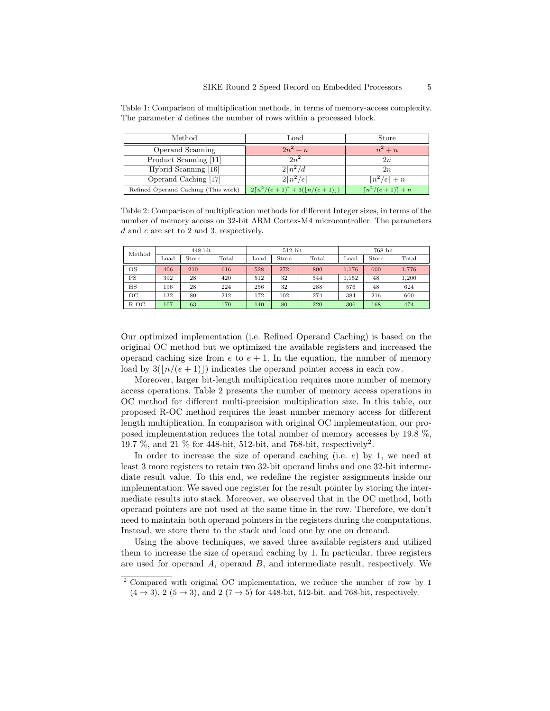| Method                              | $_{\rm Load}$                                       | Store                        |
|-------------------------------------|-----------------------------------------------------|------------------------------|
| Operand Scanning                    | $2n^2 + n$                                          | $n^2 + n$                    |
| Product Scanning [11]               | $2n^2$                                              | $_{2n}$                      |
| Hybrid Scanning [16]                | $2\lceil n^2/d\rceil$                               | 2n                           |
| Operand Caching [17]                | $2\lceil n^2/e \rceil$                              | $\lceil n^2/e \rceil + n$    |
| Refined Operand Caching (This work) | $2\lceil n^2/(e+1)\rceil + 3(\lceil n/(e+1)\rceil)$ | $\lceil n^2/(e+1)\rceil + n$ |

Table 1: Comparison of multiplication methods, in terms of memory-access complexity. The parameter d defines the number of rows within a processed block.

Table 2: Comparison of multiplication methods for different Integer sizes, in terms of the number of memory access on 32-bit ARM Cortex-M4 microcontroller. The parameters d and e are set to 2 and 3, respectively.

| Method | $448$ -bit    |       |       |      | $512$ -bit |       | 768-bit          |       |       |  |
|--------|---------------|-------|-------|------|------------|-------|------------------|-------|-------|--|
|        | $_{\rm Load}$ | Store | Total | Load | Store      | Total | $_{\text{Load}}$ | Store | Total |  |
| OS     | 406           | 210   | 616   | 528  | 272        | 800   | 1.176            | 600   | 1,776 |  |
| PS     | 392           | 28    | 420   | 512  | 32         | 544   | 1.152            | 48    | 1,200 |  |
| HS     | 196           | 28    | 224   | 256  | 32         | 288   | 576              | 48    | 624   |  |
| OC     | 132           | 80    | 212   | 172  | 102        | 274   | 384              | 216   | 600   |  |
| $R-OC$ | 107           | 63    | 170   | 140  | 80         | 220   | 306              | 168   | 474   |  |

Our optimized implementation (i.e. Refined Operand Caching) is based on the original OC method but we optimized the available registers and increased the operand caching size from e to  $e + 1$ . In the equation, the number of memory load by  $3(|n/(e + 1)|)$  indicates the operand pointer access in each row.

Moreover, larger bit-length multiplication requires more number of memory access operations. Table 2 presents the number of memory access operations in OC method for different multi-precision multiplication size. In this table, our proposed R-OC method requires the least number memory access for different length multiplication. In comparison with original OC implementation, our proposed implementation reduces the total number of memory accesses by 19.8 %, 19.7 %, and 21 % for 448-bit, 512-bit, and 768-bit, respectively<sup>2</sup>.

In order to increase the size of operand caching (i.e.  $e$ ) by 1, we need at least 3 more registers to retain two 32-bit operand limbs and one 32-bit intermediate result value. To this end, we redefine the register assignments inside our implementation. We saved one register for the result pointer by storing the intermediate results into stack. Moreover, we observed that in the OC method, both operand pointers are not used at the same time in the row. Therefore, we don't need to maintain both operand pointers in the registers during the computations. Instead, we store them to the stack and load one by one on demand.

Using the above techniques, we saved three available registers and utilized them to increase the size of operand caching by 1. In particular, three registers are used for operand  $A$ , operand  $B$ , and intermediate result, respectively. We

<sup>2</sup> Compared with original OC implementation, we reduce the number of row by 1  $(4 \rightarrow 3)$ , 2  $(5 \rightarrow 3)$ , and 2  $(7 \rightarrow 5)$  for 448-bit, 512-bit, and 768-bit, respectively.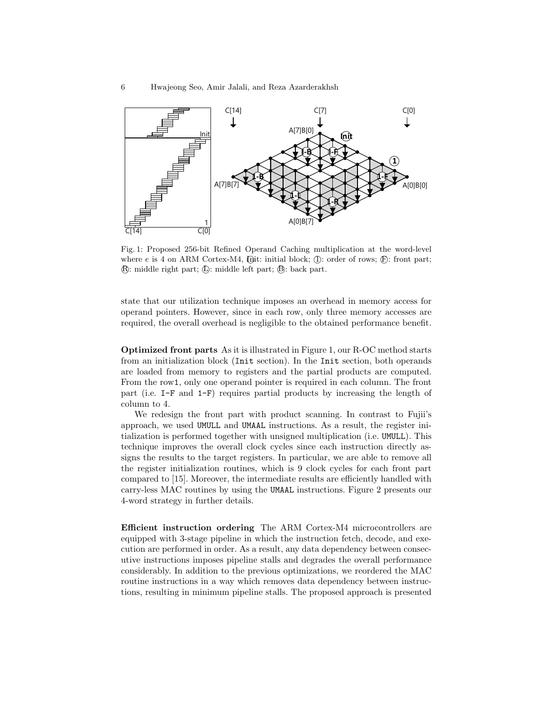

Fig. 1: Proposed 256-bit Refined Operand Caching multiplication at the word-level where  $e$  is 4 on ARM Cortex-M4,  $[D]$ it: initial block;  $(D)$ : order of rows;  $[**F**]$ : front part; R: middle right part; L : middle left part; B : back part.

state that our utilization technique imposes an overhead in memory access for **Init** operand pointers. However, since in each row, only three memory accesses are required, the overall overhead is negligible to the obtained performance benefit.

part (i.e.  $I-F$  and  $I-F$ ) requires partial products by increasing the length of **Optimized front parts** As it is illustrated in Figure 1, our R-OC method starts  $\frac{1}{2}$  column to 4. are loaded from memory to registers and the partial products are computed.<br>From the row1, only one operand pointer is required in each column. The front from an initialization block (Init section). In the Init section, both operands are loaded from memory to registers and the partial products are computed.

A[7]B[0] **4** the register initialization routines, which is 9 clock cycles for each front part technique improves the overall clock cycles since each instruction directly as-1 compared to [15]. Moreover, the intermediate results are efficiently handled with 2 4-word strategy in further details. **2** carry-less MAC routines by using the UMAAL instructions. Figure 2 presents our We redesign the front part with product scanning. In contrast to Fujii's approach, we used UMULL and UMAAL instructions. As a result, the register initialization is performed together with unsigned multiplication (i.e. UMULL). This signs the results to the target registers. In particular, we are able to remove all

different and performed in order. The a result, any data dependency between consecutive instructions imposes pipeline stalls and degrades the overall performance considerably. In addition to the previous optimizations, we reordered the MAC Efficient instruction ordering The ARM Cortex-M4 microcontrollers are EINCENT HIST RECOLUTION STATE THE THEM COTTER IN INTERCOLUTIONS are equipped with 3-stage pipeline in which the instruction fetch, decode, and execution are performed in order. As a result, any data dependency between consecroutine instructions in a way which removes data dependency between instructions, resulting in minimum pipeline stalls. The proposed approach is presented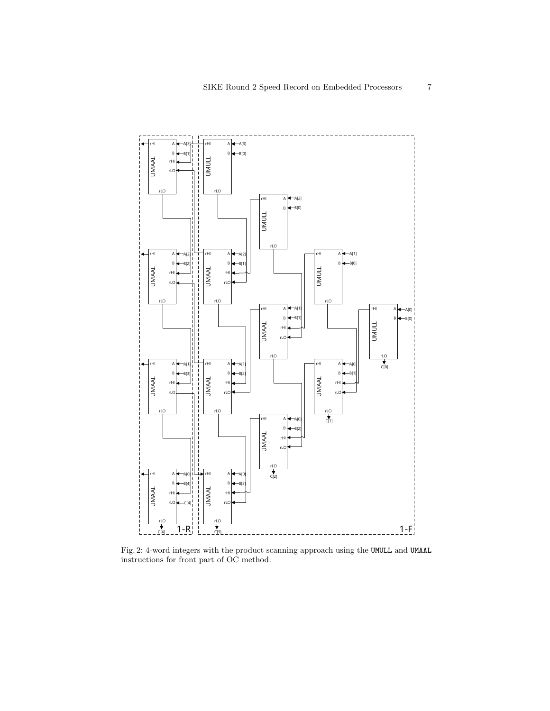

Fig. 2: 4-word integers with the product scanning approach using the UMULL and UMAAL instructions for front part of OC method.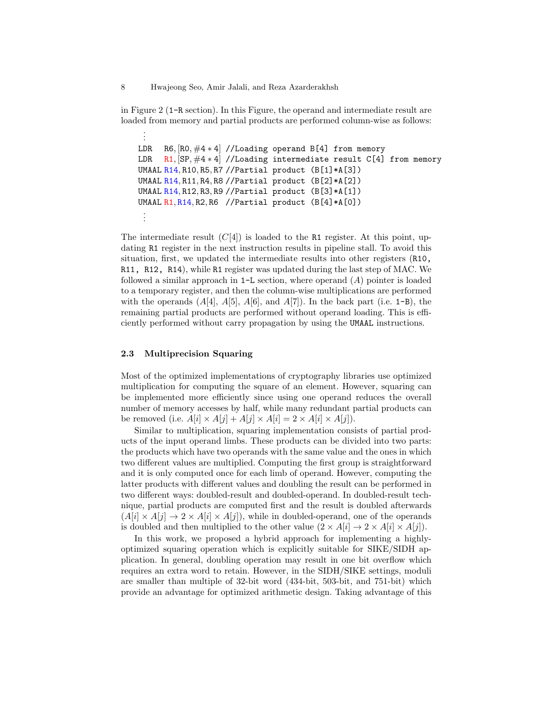in Figure 2 (1-R section). In this Figure, the operand and intermediate result are loaded from memory and partial products are performed column-wise as follows:

```
.
LDR R6, [RO, #4 * 4] //Loading operand B[4] from memory
LDR R1, \lceil SP, \#4 * 4 \rceil //Loading intermediate result C[4] from memory
UMAAL R14, R10, R5, R7 //Partial product (B[1]*A[3])
UMAAL R14, R11, R4, R8 //Partial product (B[2]*A[2])UMAAL R14, R12, R3, R9 //Partial product (B[3]*A[1])
UMAAL R1, R14, R2, R6 //Partial product (B[4]*A[0])
 .
.
.
```
The intermediate result  $(C[4])$  is loaded to the R1 register. At this point, updating R1 register in the next instruction results in pipeline stall. To avoid this situation, first, we updated the intermediate results into other registers (R10, R11, R12, R14), while R1 register was updated during the last step of MAC. We followed a similar approach in  $1-L$  section, where operand  $(A)$  pointer is loaded to a temporary register, and then the column-wise multiplications are performed with the operands  $(A[4], A[5], A[6], \text{ and } A[7])$ . In the back part (i.e. 1-B), the remaining partial products are performed without operand loading. This is efficiently performed without carry propagation by using the UMAAL instructions.

## 2.3 Multiprecision Squaring

. .

Most of the optimized implementations of cryptography libraries use optimized multiplication for computing the square of an element. However, squaring can be implemented more efficiently since using one operand reduces the overall number of memory accesses by half, while many redundant partial products can be removed (i.e.  $A[i] \times A[j] + A[j] \times A[i] = 2 \times A[i] \times A[j]).$ 

Similar to multiplication, squaring implementation consists of partial products of the input operand limbs. These products can be divided into two parts: the products which have two operands with the same value and the ones in which two different values are multiplied. Computing the first group is straightforward and it is only computed once for each limb of operand. However, computing the latter products with different values and doubling the result can be performed in two different ways: doubled-result and doubled-operand. In doubled-result technique, partial products are computed first and the result is doubled afterwards  $(A[i] \times A[j] \rightarrow 2 \times A[i] \times A[j])$ , while in doubled-operand, one of the operands is doubled and then multiplied to the other value  $(2 \times A[i] \rightarrow 2 \times A[i] \times A[j])$ .

In this work, we proposed a hybrid approach for implementing a highlyoptimized squaring operation which is explicitly suitable for SIKE/SIDH application. In general, doubling operation may result in one bit overflow which requires an extra word to retain. However, in the SIDH/SIKE settings, moduli are smaller than multiple of 32-bit word (434-bit, 503-bit, and 751-bit) which provide an advantage for optimized arithmetic design. Taking advantage of this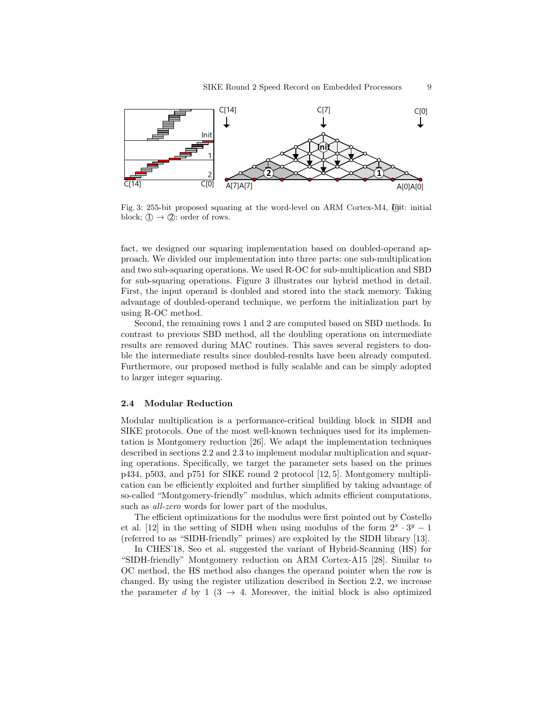

Fig. 3: 255-bit proposed squaring at the word-level on ARM Cortex-M4,  $\Phi$ it: initial block;  $\mathbb{D} \to \mathbb{Q}$ : order of rows.

A[7]A[7] A[0]A[0] proach. We divided our implementation into three parts: one sub-multiplication **Init** and two sub-squaring operations. We used R-OC for sub-multiplication and SBD **1** advantage of doubled-operand technique, we perform the initialization part by fact, we designed our squaring implementation based on doubled-operand apfor sub-squaring operations. Figure 3 illustrates our hybrid method in detail. First, the input operand is doubled and stored into the stack memory. Taking using R-OC method.

Second, the remaining 1 Second, the remaining rows 1 and 2 are computed based on SBD methods. In contrast to previous SBD method, all the doubling operations on intermediate results are removed during MAC routines. This saves several registers to double the intermediate results since doubled-results have been already computed. Furthermore, our proposed method is fully scalable and can be simply adopted to larger integer squaring.

#### 2.4 Modular Reduction

cation can be efficiently exploited and further simplified by taking advantage of 2 tation is Montgomery reduction [26]. We adapt the implementation techniques 3 **1** p434, p503, and p751 for SIKE round 2 protocol [12, 5]. Montgomery multipli-**3 2** ing operations. Specifically, we target the parameter sets based on the primes Modular multiplication is a performance-critical building block in SIDH and SIKE protocols. One of the most well-known techniques used for its implemendescribed in sections 2.2 and 2.3 to implement modular multiplication and squarso-called "Montgomery-friendly" modulus, which admits efficient computations, such as *all-zero* words for lower part of the modulus.

The efficient optimizations for the modulus were first pointed out by Costello et al. [12] in the setting of SIDH when using modulus of the form  $2^x \cdot 3^y - 1$ (referred to as "SIDH-friendly" primes) are exploited by the SIDH library [13].

In CHES'18, Seo et al. suggested the variant of Hybrid-Scanning (HS) for "SIDH-friendly" Montgomery reduction on ARM Cortex-A15 [28]. Similar to OC method, the HS method also changes the operand pointer when the row is changed. By using the register utilization described in Section 2.2, we increase the parameter d by 1 (3  $\rightarrow$  4. Moreover, the initial block is also optimized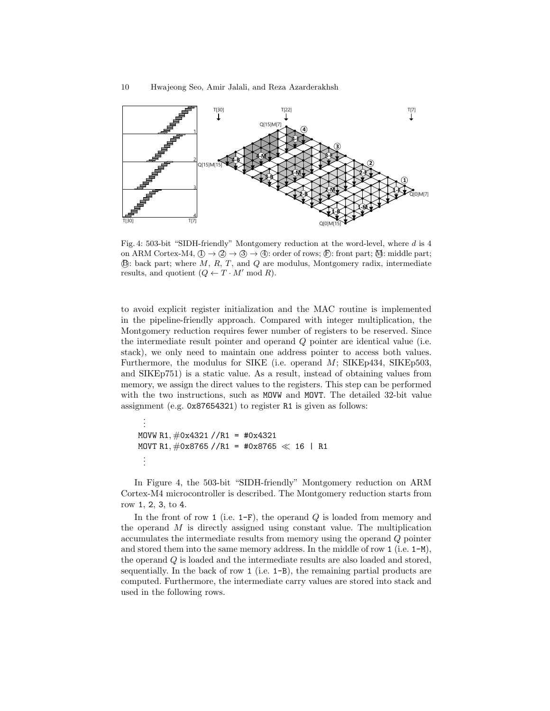

Fig. 4: 503-bit "SIDH-friendly" Montgomery reduction at the word-level, where d is 4 on ARM Cortex-M4,  $(I) \rightarrow (2) \rightarrow (3) \rightarrow (4)$ : order of rows;  $(F)$ : front part;  $M$ : middle part;  $\mathbb{B}$ : back part; where  $M, R, T$ , and  $Q$  are modulus, Montgomery radix, intermediate results, and quotient  $(Q \leftarrow T \cdot M' \mod R)$ .

to avoid explicit register initialization and the MAC routine is implemented in the pipeline-friendly approach. Compared with integer multiplication, the Montgomery reduction requires fewer number of registers to be reserved. Since the intermediate result pointer and operand Q pointer are identical value (i.e. stack), we only need to maintain one address pointer to access both values. Furthermore, the modulus for SIKE (i.e. operand M; SIKEp434, SIKEp503, and SIKEp751) is a static value. As a result, instead of obtaining values from memory, we assign the direct values to the registers. This step can be performed with the two instructions, such as MOVW and MOVT. The detailed 32-bit value assignment (e.g. 0x87654321) to register R1 is given as follows:

```
.
 .
MOVW R1, \#0x4321 //R1 = #0x4321
MOVT R1, \#0x8765 //R1 = #0x8765 \ll 16 | R1
 .
.
.
```
.

In Figure 4, the 503-bit "SIDH-friendly" Montgomery reduction on ARM Cortex-M4 microcontroller is described. The Montgomery reduction starts from row 1, 2, 3, to 4.

In the front of row 1 (i.e.  $1-F$ ), the operand Q is loaded from memory and the operand  $M$  is directly assigned using constant value. The multiplication accumulates the intermediate results from memory using the operand Q pointer and stored them into the same memory address. In the middle of row  $1$  (i.e.  $1-M$ ), the operand Q is loaded and the intermediate results are also loaded and stored, sequentially. In the back of row  $1$  (i.e.  $1-B$ ), the remaining partial products are computed. Furthermore, the intermediate carry values are stored into stack and used in the following rows.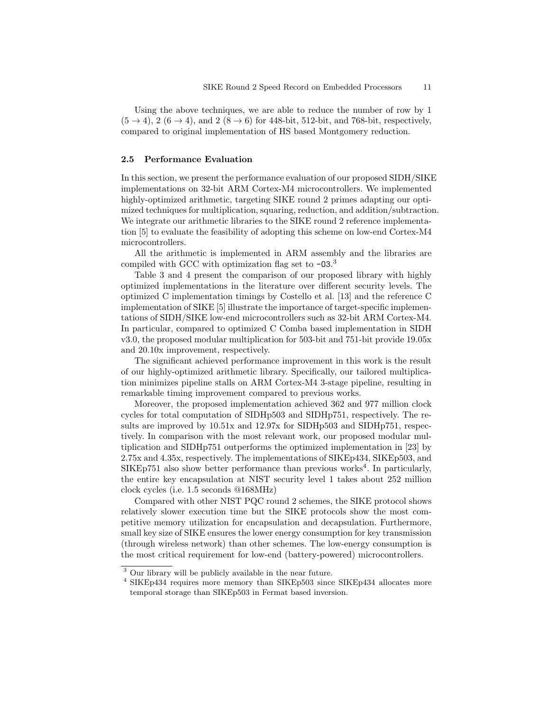Using the above techniques, we are able to reduce the number of row by 1  $(5 \rightarrow 4)$ ,  $2(6 \rightarrow 4)$ , and  $2(8 \rightarrow 6)$  for 448-bit, 512-bit, and 768-bit, respectively, compared to original implementation of HS based Montgomery reduction.

### 2.5 Performance Evaluation

In this section, we present the performance evaluation of our proposed SIDH/SIKE implementations on 32-bit ARM Cortex-M4 microcontrollers. We implemented highly-optimized arithmetic, targeting SIKE round 2 primes adapting our optimized techniques for multiplication, squaring, reduction, and addition/subtraction. We integrate our arithmetic libraries to the SIKE round 2 reference implementation [5] to evaluate the feasibility of adopting this scheme on low-end Cortex-M4 microcontrollers.

All the arithmetic is implemented in ARM assembly and the libraries are compiled with GCC with optimization flag set to  $-03<sup>3</sup>$ 

Table 3 and 4 present the comparison of our proposed library with highly optimized implementations in the literature over different security levels. The optimized C implementation timings by Costello et al. [13] and the reference C implementation of SIKE [5] illustrate the importance of target-specific implementations of SIDH/SIKE low-end microcontrollers such as 32-bit ARM Cortex-M4. In particular, compared to optimized C Comba based implementation in SIDH v3.0, the proposed modular multiplication for 503-bit and 751-bit provide 19.05x and 20.10x improvement, respectively.

The significant achieved performance improvement in this work is the result of our highly-optimized arithmetic library. Specifically, our tailored multiplication minimizes pipeline stalls on ARM Cortex-M4 3-stage pipeline, resulting in remarkable timing improvement compared to previous works.

Moreover, the proposed implementation achieved 362 and 977 million clock cycles for total computation of SIDHp503 and SIDHp751, respectively. The results are improved by  $10.51x$  and  $12.97x$  for SIDHp503 and SIDHp751, respectively. In comparison with the most relevant work, our proposed modular multiplication and SIDHp751 outperforms the optimized implementation in [23] by 2.75x and 4.35x, respectively. The implementations of SIKEp434, SIKEp503, and  $SIKEp751$  also show better performance than previous works<sup>4</sup>. In particularly, the entire key encapsulation at NIST security level 1 takes about 252 million clock cycles (i.e. 1.5 seconds @168MHz)

Compared with other NIST PQC round 2 schemes, the SIKE protocol shows relatively slower execution time but the SIKE protocols show the most competitive memory utilization for encapsulation and decapsulation. Furthermore, small key size of SIKE ensures the lower energy consumption for key transmission (through wireless network) than other schemes. The low-energy consumption is the most critical requirement for low-end (battery-powered) microcontrollers.

<sup>3</sup> Our library will be publicly available in the near future.

<sup>4</sup> SIKEp434 requires more memory than SIKEp503 since SIKEp434 allocates more temporal storage than SIKEp503 in Fermat based inversion.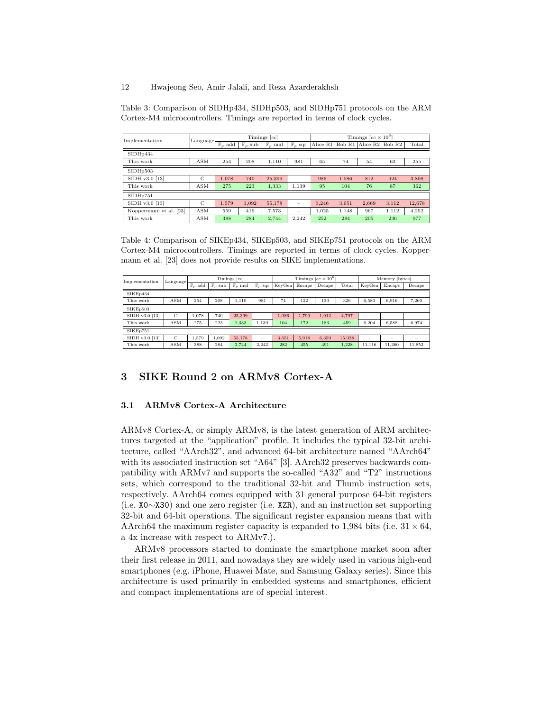Table 3: Comparison of SIDHp434, SIDHp503, and SIDHp751 protocols on the ARM Cortex-M4 microcontrollers. Timings are reported in terms of clock cycles.

| Implementation         | Language      | Timings [cc]       |                    |                    |                          | Timings $[cc \times 10^6]$ |        |          |        |        |
|------------------------|---------------|--------------------|--------------------|--------------------|--------------------------|----------------------------|--------|----------|--------|--------|
|                        |               | $\mathbb{F}_p$ add | $\mathbb{F}_p$ sub | $\mathbb{F}_p$ mul | $\mathbb{F}_p$ sqr       | Alice R1                   | Bob R1 | Alice R2 | Bob R2 | Total  |
| SIDH <sub>p434</sub>   |               |                    |                    |                    |                          |                            |        |          |        |        |
| This work              | <b>ASM</b>    | 254                | 208                | 1.110              | 981                      | 65                         | 74     | 54       | 62     | 255    |
| SIDHp503               |               |                    |                    |                    |                          |                            |        |          |        |        |
| SIDH v3.0 [13]         | $\mathcal{C}$ | 1.078              | 740                | 25,399             | $\overline{\phantom{a}}$ | 986                        | 1.086  | 812      | 924    | 3,808  |
| This work              | <b>ASM</b>    | 275                | 223                | 1.333              | 1.139                    | 95                         | 104    | 76       | 87     | 362    |
| SIDHp751               |               |                    |                    |                    |                          |                            |        |          |        |        |
| SIDH v3.0 [13]         | $\mathcal{C}$ | 1.579              | 1.092              | 55,178             | $\overline{\phantom{a}}$ | 3.246                      | 3,651  | 2.669    | 3.112  | 12,678 |
| Koppermann et al. [23] | <b>ASM</b>    | 559                | 419                | 7.573              | $\overline{\phantom{a}}$ | 1.025                      | 1.148  | 967      | 1.112  | 4.252  |
| This work              | <b>ASM</b>    | 388                | 284                | 2.744              | 2.242                    | 252                        | 284    | 205      | 236    | 977    |

Table 4: Comparison of SIKEp434, SIKEp503, and SIKEp751 protocols on the ARM Cortex-M4 microcontrollers. Timings are reported in terms of clock cycles. Koppermann et al. [23] does not provide results on SIKE implementations.

| Implementation | Language | Timings [cc]       |                    |                    | Timings $[cc \times 10^6]$ |        |        |        | Memory [bytes] |        |                          |                          |
|----------------|----------|--------------------|--------------------|--------------------|----------------------------|--------|--------|--------|----------------|--------|--------------------------|--------------------------|
|                |          | $\mathbb{F}_p$ add | $\mathbb{F}_p$ sub | $\mathbb{F}_p$ mul | $\mathbb{F}_p$ sqr         | KevGen | Encaps | Decaps | Total          | KevGen | Encaps                   | Decaps                   |
| SIKEp434       |          |                    |                    |                    |                            |        |        |        |                |        |                          |                          |
| This work      | ASM      | 254                | 208                | 1.110              | 981                        | 74     | 122    | 130    | 326            | 6,580  | 6,916                    | 7,260                    |
| SIKEp503       |          |                    |                    |                    |                            |        |        |        |                |        |                          |                          |
| SIDH v3.0 [13] | C        | 1.078              | 740                | 25.399             | $\overline{\phantom{m}}$   | 1.086  | 1.799  | 1.912  | 4.797          | -      | $\overline{\phantom{a}}$ | $\overline{\phantom{a}}$ |
| This work      | ASM      | 275                | 223                | 1,333              | 1.139                      | 104    | 172    | 183    | 459            | 6.204  | 6.588                    | 6,974                    |
| SIKEp751       |          |                    |                    |                    |                            |        |        |        |                |        |                          |                          |
| SIDH v3.0 [13] | C        | 1.579              | 1.092              | 55.178             | $\overline{\phantom{a}}$   | 3.651  | 5.918  | 6.359  | 15.928         | -      | $\overline{\phantom{a}}$ | $\overline{\phantom{a}}$ |
| This work      | ASM      | 388                | 284                | 2.744              | 2.242                      | 282    | 455    | 491    | 1.228          | 11.116 | 11.260                   | 11,852                   |

## 3 SIKE Round 2 on ARMv8 Cortex-A

## 3.1 ARMv8 Cortex-A Architecture

ARMv8 Cortex-A, or simply ARMv8, is the latest generation of ARM architectures targeted at the "application" profile. It includes the typical 32-bit architecture, called "AArch32", and advanced 64-bit architecture named "AArch64" with its associated instruction set "A64" [3]. AArch32 preserves backwards compatibility with ARMv7 and supports the so-called "A32" and "T2" instructions sets, which correspond to the traditional 32-bit and Thumb instruction sets, respectively. AArch64 comes equipped with 31 general purpose 64-bit registers (i.e. X0∼X30) and one zero register (i.e. XZR), and an instruction set supporting 32-bit and 64-bit operations. The significant register expansion means that with AArch64 the maximum register capacity is expanded to 1,984 bits (i.e.  $31 \times 64$ , a 4x increase with respect to ARMv7.).

ARMv8 processors started to dominate the smartphone market soon after their first release in 2011, and nowadays they are widely used in various high-end smartphones (e.g. iPhone, Huawei Mate, and Samsung Galaxy series). Since this architecture is used primarily in embedded systems and smartphones, efficient and compact implementations are of special interest.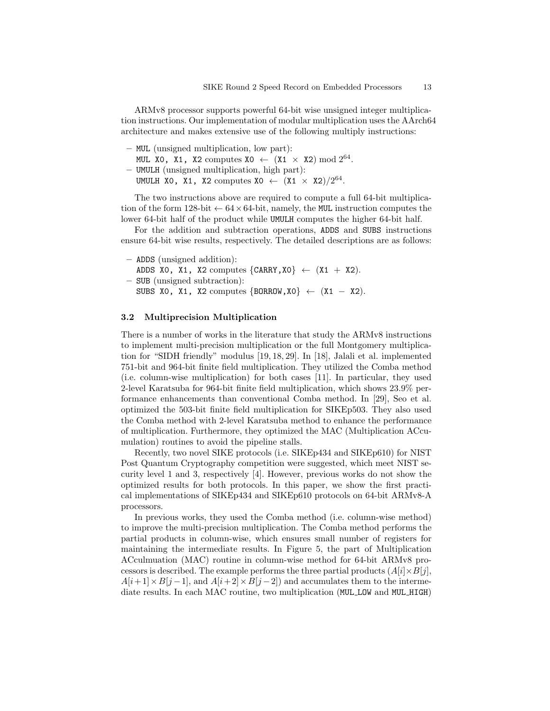ARMv8 processor supports powerful 64-bit wise unsigned integer multiplication instructions. Our implementation of modular multiplication uses the AArch64 architecture and makes extensive use of the following multiply instructions:

- MUL (unsigned multiplication, low part): MUL X0, X1, X2 computes  $X0 \leftarrow (X1 \times X2) \text{ mod } 2^{64}$ . – UMULH (unsigned multiplication, high part):
- UMULH XO, X1, X2 computes  $X0 \leftarrow (X1 \times X2)/2^{64}$ .

The two instructions above are required to compute a full 64-bit multiplication of the form 128-bit  $\leftarrow 64 \times 64$ -bit, namely, the MUL instruction computes the lower 64-bit half of the product while UMULH computes the higher 64-bit half.

For the addition and subtraction operations, ADDS and SUBS instructions ensure 64-bit wise results, respectively. The detailed descriptions are as follows:

– ADDS (unsigned addition): ADDS XO, X1, X2 computes  $\{CARRY,X0\} \leftarrow (X1 + X2)$ . – SUB (unsigned subtraction): SUBS XO, X1, X2 computes  $\{BORROW, X0\} \leftarrow (X1 - X2)$ .

### 3.2 Multiprecision Multiplication

There is a number of works in the literature that study the ARMv8 instructions to implement multi-precision multiplication or the full Montgomery multiplication for "SIDH friendly" modulus [19, 18, 29]. In [18], Jalali et al. implemented 751-bit and 964-bit finite field multiplication. They utilized the Comba method (i.e. column-wise multiplication) for both cases [11]. In particular, they used 2-level Karatsuba for 964-bit finite field multiplication, which shows 23.9% performance enhancements than conventional Comba method. In [29], Seo et al. optimized the 503-bit finite field multiplication for SIKEp503. They also used the Comba method with 2-level Karatsuba method to enhance the performance of multiplication. Furthermore, they optimized the MAC (Multiplication ACcumulation) routines to avoid the pipeline stalls.

Recently, two novel SIKE protocols (i.e. SIKEp434 and SIKEp610) for NIST Post Quantum Cryptography competition were suggested, which meet NIST security level 1 and 3, respectively [4]. However, previous works do not show the optimized results for both protocols. In this paper, we show the first practical implementations of SIKEp434 and SIKEp610 protocols on 64-bit ARMv8-A processors.

In previous works, they used the Comba method (i.e. column-wise method) to improve the multi-precision multiplication. The Comba method performs the partial products in column-wise, which ensures small number of registers for maintaining the intermediate results. In Figure 5, the part of Multiplication ACculmuation (MAC) routine in column-wise method for 64-bit ARMv8 processors is described. The example performs the three partial products  $(A[i] \times B[i],$  $A[i+1] \times B[j-1]$ , and  $A[i+2] \times B[j-2]$  and accumulates them to the intermediate results. In each MAC routine, two multiplication (MUL LOW and MUL HIGH)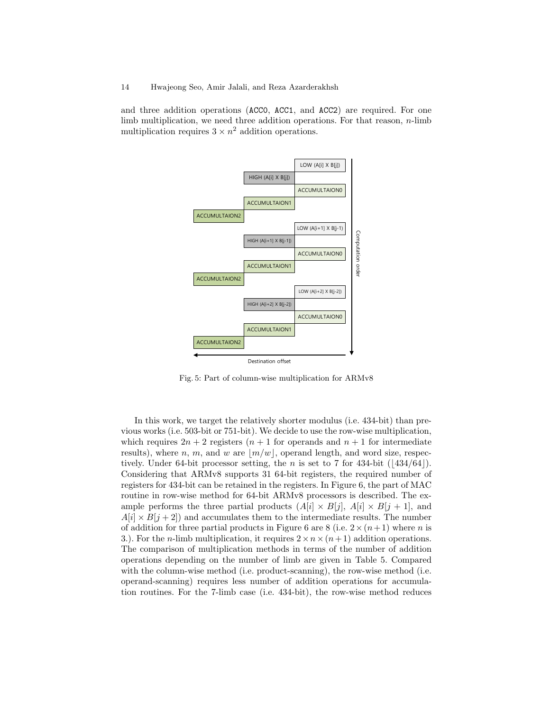and three addition operations (ACC0, ACC1, and ACC2) are required. For one limb multiplication, we need three addition operations. For that reason, n-limb multiplication requires  $3 \times n^2$  addition operations.



Fig. 5: Part of column-wise multiplication for ARMv8

In this work, we target the relatively shorter modulus (i.e. 434-bit) than previous works (i.e. 503-bit or 751-bit). We decide to use the row-wise multiplication, which requires  $2n + 2$  registers  $(n + 1$  for operands and  $n + 1$  for intermediate results), where n, m, and w are  $|m/w|$ , operand length, and word size, respectively. Under 64-bit processor setting, the *n* is set to 7 for 434-bit  $(|434/64|)$ . Considering that ARMv8 supports 31 64-bit registers, the required number of registers for 434-bit can be retained in the registers. In Figure 6, the part of MAC routine in row-wise method for 64-bit ARMv8 processors is described. The example performs the three partial products  $(A[i] \times B[j], A[i] \times B[j+1],$  and  $A[i] \times B[j+2]$  and accumulates them to the intermediate results. The number of addition for three partial products in Figure 6 are 8 (i.e.  $2 \times (n+1)$ ) where *n* is 3.). For the *n*-limb multiplication, it requires  $2 \times n \times (n+1)$  addition operations. The comparison of multiplication methods in terms of the number of addition operations depending on the number of limb are given in Table 5. Compared with the column-wise method (i.e. product-scanning), the row-wise method (i.e. operand-scanning) requires less number of addition operations for accumulation routines. For the 7-limb case (i.e. 434-bit), the row-wise method reduces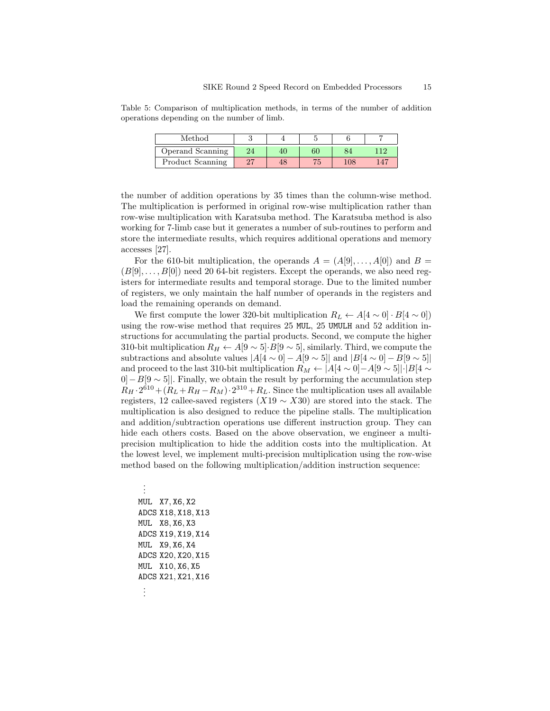Table 5: Comparison of multiplication methods, in terms of the number of addition operations depending on the number of limb.

| Method           |    |    |         |     |
|------------------|----|----|---------|-----|
| Operand Scanning | 40 | 60 | 34      | 116 |
| Product Scanning |    |    | $108\,$ | 147 |

the number of addition operations by 35 times than the column-wise method. The multiplication is performed in original row-wise multiplication rather than row-wise multiplication with Karatsuba method. The Karatsuba method is also working for 7-limb case but it generates a number of sub-routines to perform and store the intermediate results, which requires additional operations and memory accesses [27].

For the 610-bit multiplication, the operands  $A = (A[9], \ldots, A[0])$  and  $B =$  $(B[9], \ldots, B[0])$  need 20 64-bit registers. Except the operands, we also need registers for intermediate results and temporal storage. Due to the limited number of registers, we only maintain the half number of operands in the registers and load the remaining operands on demand.

We first compute the lower 320-bit multiplication  $R_L \leftarrow A[4 \sim 0] \cdot B[4 \sim 0]$ using the row-wise method that requires 25 MUL, 25 UMULH and 52 addition instructions for accumulating the partial products. Second, we compute the higher 310-bit multiplication  $R_H \leftarrow A[9 \sim 5] \cdot B[9 \sim 5]$ , similarly. Third, we compute the subtractions and absolute values  $|A[4 \sim 0] - A[9 \sim 5]|$  and  $|B[4 \sim 0] - B[9 \sim 5]|$ and proceed to the last 310-bit multiplication  $R_M \leftarrow |A[4 \sim 0] - A[9 \sim 5]| \cdot |B[4 \sim 0]$  $[0]-B[9\sim 5]$ . Finally, we obtain the result by performing the accumulation step  $R_H \cdot 2^{610} + (R_L + R_H - R_M) \cdot 2^{310} + R_L$ . Since the multiplication uses all available registers, 12 callee-saved registers  $(X19 \sim X30)$  are stored into the stack. The multiplication is also designed to reduce the pipeline stalls. The multiplication and addition/subtraction operations use different instruction group. They can hide each others costs. Based on the above observation, we engineer a multiprecision multiplication to hide the addition costs into the multiplication. At the lowest level, we implement multi-precision multiplication using the row-wise method based on the following multiplication/addition instruction sequence:

. . . MUL X7, X6, X2 ADCS X18, X18, X13 MUL X8, X6, X3 ADCS X19, X19, X14 MUL X9, X6, X4 ADCS X20, X20, X15 MUL X10, X6, X5 ADCS X21, X21, X16 . . .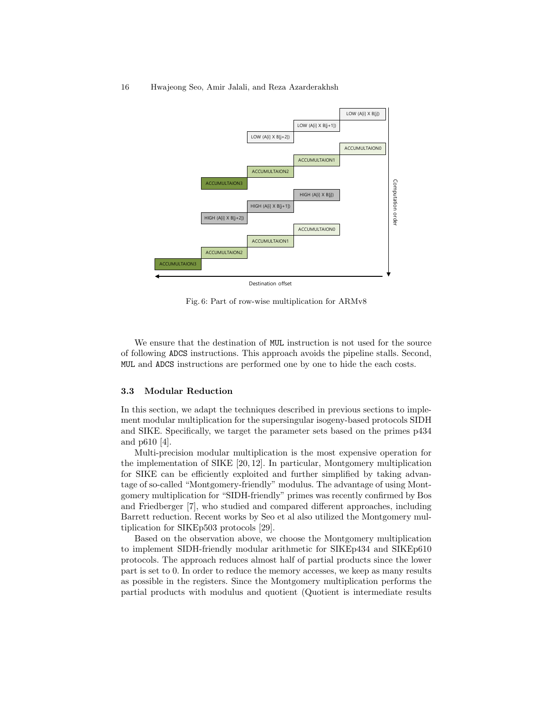

Fig. 6: Part of row-wise multiplication for ARMv8

We ensure that the destination of MUL instruction is not used for the source of following ADCS instructions. This approach avoids the pipeline stalls. Second, MUL and ADCS instructions are performed one by one to hide the each costs.

#### 3.3 Modular Reduction

In this section, we adapt the techniques described in previous sections to implement modular multiplication for the supersingular isogeny-based protocols SIDH and SIKE. Specifically, we target the parameter sets based on the primes p434 and p610 [4].

Multi-precision modular multiplication is the most expensive operation for the implementation of SIKE [20, 12]. In particular, Montgomery multiplication for SIKE can be efficiently exploited and further simplified by taking advantage of so-called "Montgomery-friendly" modulus. The advantage of using Montgomery multiplication for "SIDH-friendly" primes was recently confirmed by Bos and Friedberger [7], who studied and compared different approaches, including Barrett reduction. Recent works by Seo et al also utilized the Montgomery multiplication for SIKEp503 protocols [29].

Based on the observation above, we choose the Montgomery multiplication to implement SIDH-friendly modular arithmetic for SIKEp434 and SIKEp610 protocols. The approach reduces almost half of partial products since the lower part is set to 0. In order to reduce the memory accesses, we keep as many results as possible in the registers. Since the Montgomery multiplication performs the partial products with modulus and quotient (Quotient is intermediate results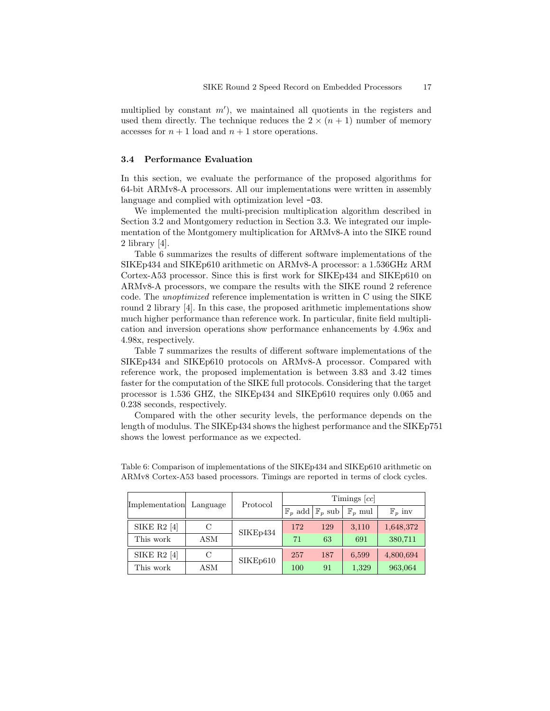multiplied by constant  $m'$ ), we maintained all quotients in the registers and used them directly. The technique reduces the  $2 \times (n + 1)$  number of memory accesses for  $n + 1$  load and  $n + 1$  store operations.

### 3.4 Performance Evaluation

In this section, we evaluate the performance of the proposed algorithms for 64-bit ARMv8-A processors. All our implementations were written in assembly language and complied with optimization level -O3.

We implemented the multi-precision multiplication algorithm described in Section 3.2 and Montgomery reduction in Section 3.3. We integrated our implementation of the Montgomery multiplication for ARMv8-A into the SIKE round 2 library [4].

Table 6 summarizes the results of different software implementations of the SIKEp434 and SIKEp610 arithmetic on ARMv8-A processor: a 1.536GHz ARM Cortex-A53 processor. Since this is first work for SIKEp434 and SIKEp610 on ARMv8-A processors, we compare the results with the SIKE round 2 reference code. The unoptimized reference implementation is written in C using the SIKE round 2 library [4]. In this case, the proposed arithmetic implementations show much higher performance than reference work. In particular, finite field multiplication and inversion operations show performance enhancements by 4.96x and 4.98x, respectively.

Table 7 summarizes the results of different software implementations of the SIKEp434 and SIKEp610 protocols on ARMv8-A processor. Compared with reference work, the proposed implementation is between 3.83 and 3.42 times faster for the computation of the SIKE full protocols. Considering that the target processor is 1.536 GHZ, the SIKEp434 and SIKEp610 requires only 0.065 and 0.238 seconds, respectively.

Compared with the other security levels, the performance depends on the length of modulus. The SIKEp434 shows the highest performance and the SIKEp751 shows the lowest performance as we expected.

| Implementation | Language | Protocol           | Timings [cc] |                    |                    |                    |  |  |  |
|----------------|----------|--------------------|--------------|--------------------|--------------------|--------------------|--|--|--|
|                |          | $\mathbb{F}_n$ add |              | $\mathbb{F}_p$ sub | $\mathbb{F}_p$ mul | $\mathbb{F}_p$ inv |  |  |  |
| SIKE $R2$ [4]  | С        | SIKEp434           | 172          | 129                | 3,110              | 1,648,372          |  |  |  |
| This work      | ASM      |                    | 71           | 63                 | 691                | 380,711            |  |  |  |
| SIKE $R2$ [4]  | С        | SIKEp610           | 257          | 187                | 6,599              | 4,800,694          |  |  |  |
| This work      | ASM      |                    | 100          | 91                 | 1,329              | 963,064            |  |  |  |

Table 6: Comparison of implementations of the SIKEp434 and SIKEp610 arithmetic on ARMv8 Cortex-A53 based processors. Timings are reported in terms of clock cycles.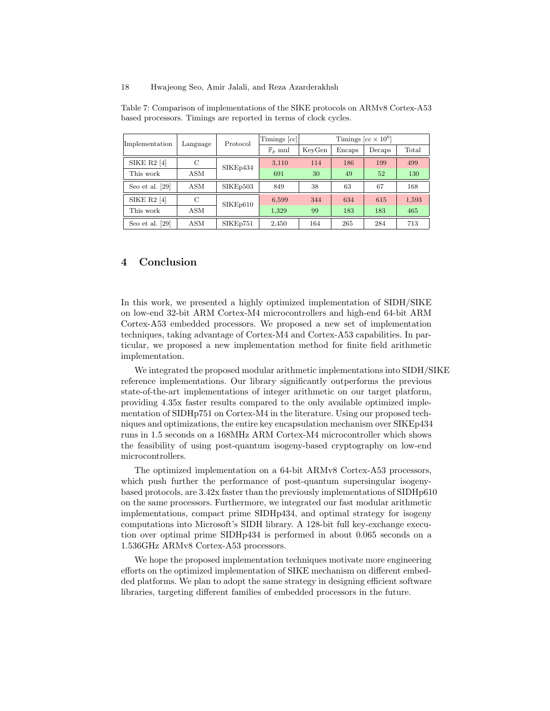| Implementation     | Language   | Protocol | $T$ imings $ cc $  |        | Timings $[cc \times 10^6]$ |        |       |
|--------------------|------------|----------|--------------------|--------|----------------------------|--------|-------|
|                    |            |          | $\mathbb{F}_n$ mul | KeyGen | Encaps                     | Decaps | Total |
| <b>SIKE R2</b> [4] | C          | SIKEp434 | 3,110              | 114    | 186                        | 199    | 499   |
| This work          | <b>ASM</b> |          | 691                | 30     | 49                         | 52     | 130   |
| Seo et al. [29]    | <b>ASM</b> | SIKEp503 | 849                | 38     | 63                         | 67     | 168   |
| SIKE $R2$ [4]      | С          | SIKEp610 | 6,599              | 344    | 634                        | 615    | 1,593 |
| This work          | ASM        |          | 1,329              | 99     | 183                        | 183    | 465   |
| Seo et al. [29]    | <b>ASM</b> | SIKEp751 | 2,450              | 164    | 265                        | 284    | 713   |

Table 7: Comparison of implementations of the SIKE protocols on ARMv8 Cortex-A53 based processors. Timings are reported in terms of clock cycles.

## 4 Conclusion

In this work, we presented a highly optimized implementation of SIDH/SIKE on low-end 32-bit ARM Cortex-M4 microcontrollers and high-end 64-bit ARM Cortex-A53 embedded processors. We proposed a new set of implementation techniques, taking advantage of Cortex-M4 and Cortex-A53 capabilities. In particular, we proposed a new implementation method for finite field arithmetic implementation.

We integrated the proposed modular arithmetic implementations into SIDH/SIKE reference implementations. Our library significantly outperforms the previous state-of-the-art implementations of integer arithmetic on our target platform, providing 4.35x faster results compared to the only available optimized implementation of SIDHp751 on Cortex-M4 in the literature. Using our proposed techniques and optimizations, the entire key encapsulation mechanism over SIKEp434 runs in 1.5 seconds on a 168MHz ARM Cortex-M4 microcontroller which shows the feasibility of using post-quantum isogeny-based cryptography on low-end microcontrollers.

The optimized implementation on a 64-bit ARMv8 Cortex-A53 processors, which push further the performance of post-quantum supersingular isogenybased protocols, are 3.42x faster than the previously implementations of SIDHp610 on the same processors. Furthermore, we integrated our fast modular arithmetic implementations, compact prime SIDHp434, and optimal strategy for isogeny computations into Microsoft's SIDH library. A 128-bit full key-exchange execution over optimal prime SIDHp434 is performed in about 0.065 seconds on a 1.536GHz ARMv8 Cortex-A53 processors.

We hope the proposed implementation techniques motivate more engineering efforts on the optimized implementation of SIKE mechanism on different embedded platforms. We plan to adopt the same strategy in designing efficient software libraries, targeting different families of embedded processors in the future.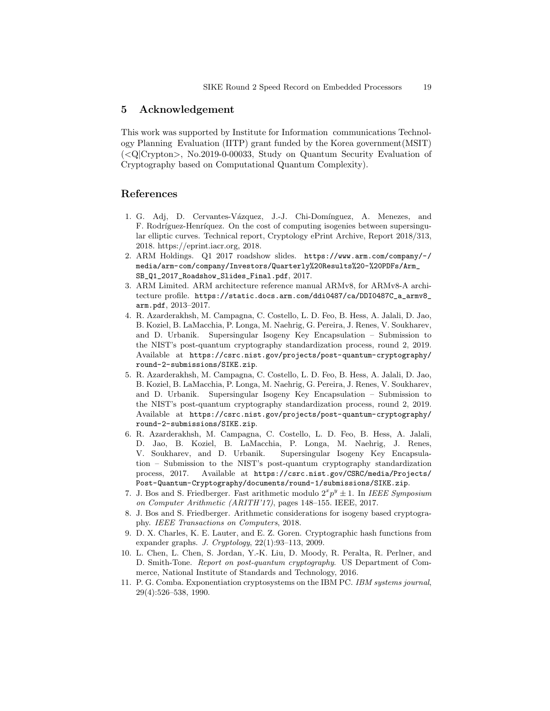## 5 Acknowledgement

This work was supported by Institute for Information communications Technology Planning Evaluation (IITP) grant funded by the Korea government(MSIT) (<Q|Crypton>, No.2019-0-00033, Study on Quantum Security Evaluation of Cryptography based on Computational Quantum Complexity).

## References

- 1. G. Adj, D. Cervantes-Vázquez, J.-J. Chi-Domínguez, A. Menezes, and F. Rodríguez-Henríquez. On the cost of computing isogenies between supersingular elliptic curves. Technical report, Cryptology ePrint Archive, Report 2018/313, 2018. https://eprint.iacr.org, 2018.
- 2. ARM Holdings. Q1 2017 roadshow slides. https://www.arm.com/company/-/ media/arm-com/company/Investors/Quarterly%20Results%20-%20PDFs/Arm\_ SB\_Q1\_2017\_Roadshow\_Slides\_Final.pdf, 2017.
- 3. ARM Limited. ARM architecture reference manual ARMv8, for ARMv8-A architecture profile. https://static.docs.arm.com/ddi0487/ca/DDI0487C\_a\_armv8\_ arm.pdf, 2013–2017.
- 4. R. Azarderakhsh, M. Campagna, C. Costello, L. D. Feo, B. Hess, A. Jalali, D. Jao, B. Koziel, B. LaMacchia, P. Longa, M. Naehrig, G. Pereira, J. Renes, V. Soukharev, and D. Urbanik. Supersingular Isogeny Key Encapsulation – Submission to the NIST's post-quantum cryptography standardization process, round 2, 2019. Available at https://csrc.nist.gov/projects/post-quantum-cryptography/ round-2-submissions/SIKE.zip.
- 5. R. Azarderakhsh, M. Campagna, C. Costello, L. D. Feo, B. Hess, A. Jalali, D. Jao, B. Koziel, B. LaMacchia, P. Longa, M. Naehrig, G. Pereira, J. Renes, V. Soukharev, and D. Urbanik. Supersingular Isogeny Key Encapsulation – Submission to the NIST's post-quantum cryptography standardization process, round 2, 2019. Available at https://csrc.nist.gov/projects/post-quantum-cryptography/ round-2-submissions/SIKE.zip.
- 6. R. Azarderakhsh, M. Campagna, C. Costello, L. D. Feo, B. Hess, A. Jalali, D. Jao, B. Koziel, B. LaMacchia, P. Longa, M. Naehrig, J. Renes, V. Soukharev, and D. Urbanik. Supersingular Isogeny Key Encapsulation – Submission to the NIST's post-quantum cryptography standardization process, 2017. Available at https://csrc.nist.gov/CSRC/media/Projects/ Post-Quantum-Cryptography/documents/round-1/submissions/SIKE.zip.
- 7. J. Bos and S. Friedberger. Fast arithmetic modulo  $2^x p^y \pm 1$ . In *IEEE Symposium* on Computer Arithmetic (ARITH'17), pages 148–155. IEEE, 2017.
- 8. J. Bos and S. Friedberger. Arithmetic considerations for isogeny based cryptography. IEEE Transactions on Computers, 2018.
- 9. D. X. Charles, K. E. Lauter, and E. Z. Goren. Cryptographic hash functions from expander graphs. J. Cryptology, 22(1):93–113, 2009.
- 10. L. Chen, L. Chen, S. Jordan, Y.-K. Liu, D. Moody, R. Peralta, R. Perlner, and D. Smith-Tone. Report on post-quantum cryptography. US Department of Commerce, National Institute of Standards and Technology, 2016.
- 11. P. G. Comba. Exponentiation cryptosystems on the IBM PC. IBM systems journal, 29(4):526–538, 1990.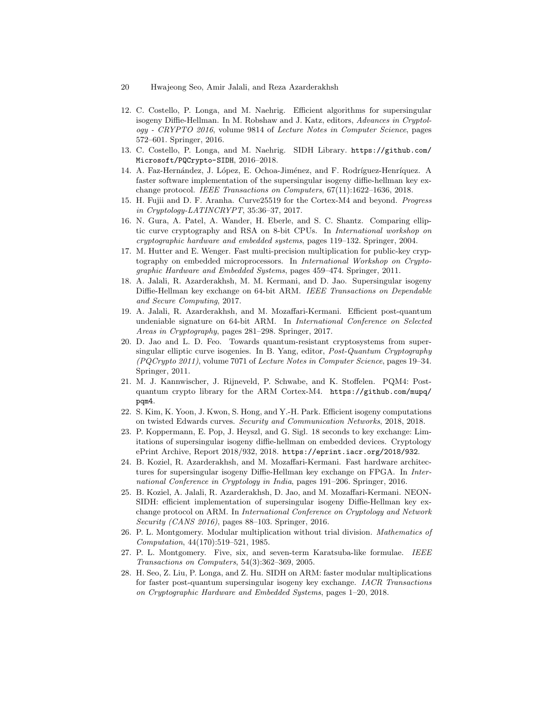- 20 Hwajeong Seo, Amir Jalali, and Reza Azarderakhsh
- 12. C. Costello, P. Longa, and M. Naehrig. Efficient algorithms for supersingular isogeny Diffie-Hellman. In M. Robshaw and J. Katz, editors, Advances in Cryptology - CRYPTO 2016, volume 9814 of Lecture Notes in Computer Science, pages 572–601. Springer, 2016.
- 13. C. Costello, P. Longa, and M. Naehrig. SIDH Library. https://github.com/ Microsoft/PQCrypto-SIDH, 2016–2018.
- 14. A. Faz-Hernández, J. López, E. Ochoa-Jiménez, and F. Rodríguez-Henríquez. A faster software implementation of the supersingular isogeny diffie-hellman key exchange protocol. IEEE Transactions on Computers, 67(11):1622–1636, 2018.
- 15. H. Fujii and D. F. Aranha. Curve25519 for the Cortex-M4 and beyond. Progress in Cryptology-LATINCRYPT, 35:36–37, 2017.
- 16. N. Gura, A. Patel, A. Wander, H. Eberle, and S. C. Shantz. Comparing elliptic curve cryptography and RSA on 8-bit CPUs. In International workshop on cryptographic hardware and embedded systems, pages 119–132. Springer, 2004.
- 17. M. Hutter and E. Wenger. Fast multi-precision multiplication for public-key cryptography on embedded microprocessors. In International Workshop on Cryptographic Hardware and Embedded Systems, pages 459–474. Springer, 2011.
- 18. A. Jalali, R. Azarderakhsh, M. M. Kermani, and D. Jao. Supersingular isogeny Diffie-Hellman key exchange on 64-bit ARM. IEEE Transactions on Dependable and Secure Computing, 2017.
- 19. A. Jalali, R. Azarderakhsh, and M. Mozaffari-Kermani. Efficient post-quantum undeniable signature on 64-bit ARM. In International Conference on Selected Areas in Cryptography, pages 281–298. Springer, 2017.
- 20. D. Jao and L. D. Feo. Towards quantum-resistant cryptosystems from supersingular elliptic curve isogenies. In B. Yang, editor, Post-Quantum Cryptography (PQCrypto 2011), volume 7071 of Lecture Notes in Computer Science, pages 19–34. Springer, 2011.
- 21. M. J. Kannwischer, J. Rijneveld, P. Schwabe, and K. Stoffelen. PQM4: Postquantum crypto library for the ARM Cortex-M4. https://github.com/mupq/ pqm4.
- 22. S. Kim, K. Yoon, J. Kwon, S. Hong, and Y.-H. Park. Efficient isogeny computations on twisted Edwards curves. Security and Communication Networks, 2018, 2018.
- 23. P. Koppermann, E. Pop, J. Heyszl, and G. Sigl. 18 seconds to key exchange: Limitations of supersingular isogeny diffie-hellman on embedded devices. Cryptology ePrint Archive, Report 2018/932, 2018. https://eprint.iacr.org/2018/932.
- 24. B. Koziel, R. Azarderakhsh, and M. Mozaffari-Kermani. Fast hardware architectures for supersingular isogeny Diffie-Hellman key exchange on FPGA. In International Conference in Cryptology in India, pages 191–206. Springer, 2016.
- 25. B. Koziel, A. Jalali, R. Azarderakhsh, D. Jao, and M. Mozaffari-Kermani. NEON-SIDH: efficient implementation of supersingular isogeny Diffie-Hellman key exchange protocol on ARM. In International Conference on Cryptology and Network Security (CANS 2016), pages 88–103. Springer, 2016.
- 26. P. L. Montgomery. Modular multiplication without trial division. Mathematics of Computation, 44(170):519–521, 1985.
- 27. P. L. Montgomery. Five, six, and seven-term Karatsuba-like formulae. IEEE Transactions on Computers, 54(3):362–369, 2005.
- 28. H. Seo, Z. Liu, P. Longa, and Z. Hu. SIDH on ARM: faster modular multiplications for faster post-quantum supersingular isogeny key exchange. IACR Transactions on Cryptographic Hardware and Embedded Systems, pages 1–20, 2018.